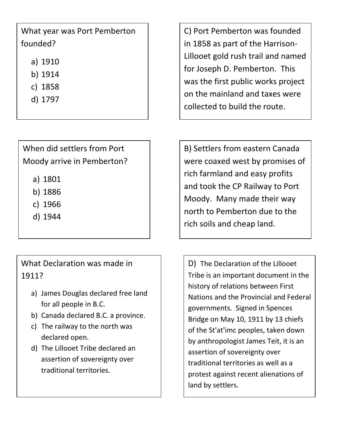## What year was Port Pemberton founded?

- a) 1910
- b) 1914
- c) 1858
- d) 1797

When did settlers from Port Moody arrive in Pemberton?

- a) 1801
- b) 1886
- c) 1966
- d) 1944

What Declaration was made in 1911?

- a) James Douglas declared free land for all people in B.C.
- b) Canada declared B.C. a province.
- c) The railway to the north was declared open.
- d) The Lillooet Tribe declared an assertion of sovereignty over traditional territories.

C) Port Pemberton was founded in 1858 as part of the Harrison-Lillooet gold rush trail and named for Joseph D. Pemberton. This was the first public works project on the mainland and taxes were collected to build the route.

B) Settlers from eastern Canada were coaxed west by promises of rich farmland and easy profits and took the CP Railway to Port Moody. Many made their way north to Pemberton due to the rich soils and cheap land.

D) The Declaration of the Lillooet Tribe is an important document in the history of relations between First Nations and the Provincial and Federal governments. Signed in Spences Bridge on May 10, 1911 by 13 chiefs of the St'at'imc peoples, taken down by anthropologist James Teit, it is an assertion of sovereignty over traditional territories as well as a protest against recent alienations of land by settlers.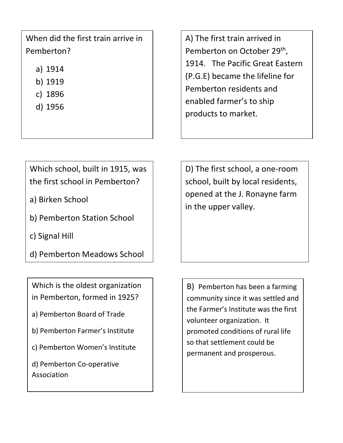When did the first train arrive in Pemberton?

- a) 1914
- b) 1919
- c) 1896
- d) 1956

A) The first train arrived in Pemberton on October 29<sup>th</sup>, 1914. The Pacific Great Eastern (P.G.E) became the lifeline for Pemberton residents and enabled farmer's to ship products to market.

Which school, built in 1915, was the first school in Pemberton?

- a) Birken School
- b) Pemberton Station School
- c) Signal Hill
- d) Pemberton Meadows School

Which is the oldest organization in Pemberton, formed in 1925?

a) Pemberton Board of Trade

b) Pemberton Farmer's Institute

c) Pemberton Women's Institute

d) Pemberton Co-operative Association

D) The first school, a one-room school, built by local residents, opened at the J. Ronayne farm in the upper valley.

B) Pemberton has been a farming community since it was settled and the Farmer's Institute was the first volunteer organization. It promoted conditions of rural life so that settlement could be permanent and prosperous.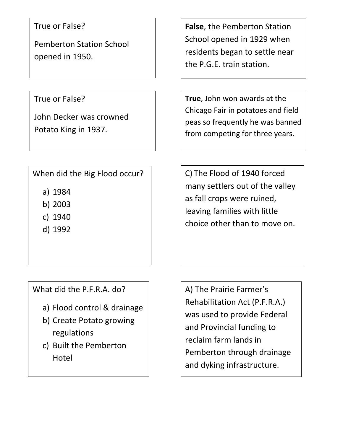True or False?

Pemberton Station School opened in 1950.

True or False?

John Decker was crowned Potato King in 1937.

When did the Big Flood occur?

- a) 1984
- b) 2003
- c) 1940
- d) 1992

What did the P.F.R.A. do?

- a) Flood control & drainage
- b) Create Potato growing regulations
- c) Built the Pemberton Hotel

**False**, the Pemberton Station School opened in 1929 when residents began to settle near the P.G.E. train station.

**True**, John won awards at the Chicago Fair in potatoes and field peas so frequently he was banned from competing for three years.

C) The Flood of 1940 forced many settlers out of the valley as fall crops were ruined, leaving families with little choice other than to move on.

A) The Prairie Farmer's Rehabilitation Act (P.F.R.A.) was used to provide Federal and Provincial funding to reclaim farm lands in Pemberton through drainage and dyking infrastructure.